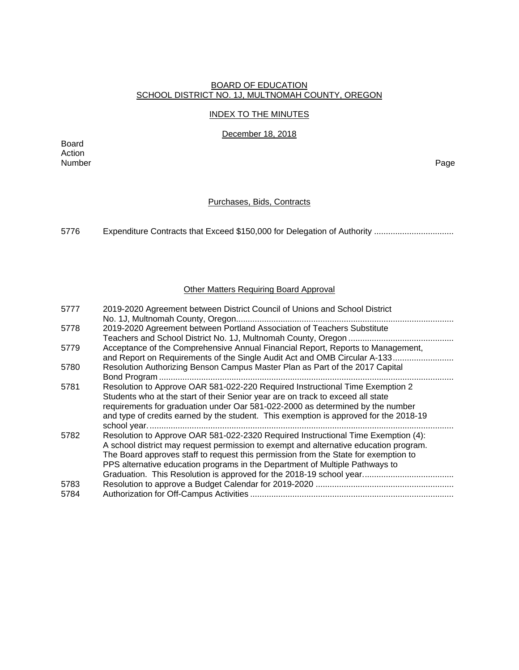### BOARD OF EDUCATION SCHOOL DISTRICT NO. 1J, MULTNOMAH COUNTY, OREGON

### INDEX TO THE MINUTES

December 18, 2018

Board Action Number Page

## Purchases, Bids, Contracts

5776 Expenditure Contracts that Exceed \$150,000 for Delegation of Authority .................................

## Other Matters Requiring Board Approval

| 5777         | 2019-2020 Agreement between District Council of Unions and School District                                                                                                                                                                                                                                                                        |
|--------------|---------------------------------------------------------------------------------------------------------------------------------------------------------------------------------------------------------------------------------------------------------------------------------------------------------------------------------------------------|
| 5778         | 2019-2020 Agreement between Portland Association of Teachers Substitute                                                                                                                                                                                                                                                                           |
| 5779         | Acceptance of the Comprehensive Annual Financial Report, Reports to Management,<br>and Report on Requirements of the Single Audit Act and OMB Circular A-133                                                                                                                                                                                      |
| 5780         | Resolution Authorizing Benson Campus Master Plan as Part of the 2017 Capital                                                                                                                                                                                                                                                                      |
| 5781         | Resolution to Approve OAR 581-022-220 Required Instructional Time Exemption 2<br>Students who at the start of their Senior year are on track to exceed all state<br>requirements for graduation under Oar 581-022-2000 as determined by the number<br>and type of credits earned by the student. This exemption is approved for the 2018-19       |
| 5782         | Resolution to Approve OAR 581-022-2320 Required Instructional Time Exemption (4):<br>A school district may request permission to exempt and alternative education program.<br>The Board approves staff to request this permission from the State for exemption to<br>PPS alternative education programs in the Department of Multiple Pathways to |
| 5783<br>5784 |                                                                                                                                                                                                                                                                                                                                                   |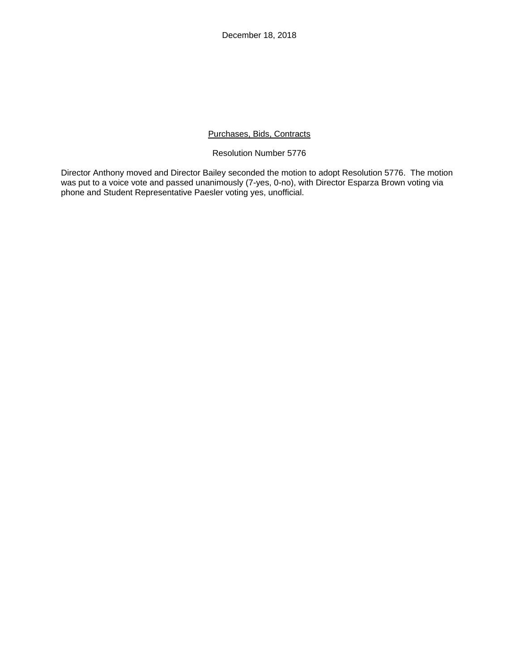December 18, 2018

## Purchases, Bids, Contracts

### Resolution Number 5776

Director Anthony moved and Director Bailey seconded the motion to adopt Resolution 5776. The motion was put to a voice vote and passed unanimously (7-yes, 0-no), with Director Esparza Brown voting via phone and Student Representative Paesler voting yes, unofficial.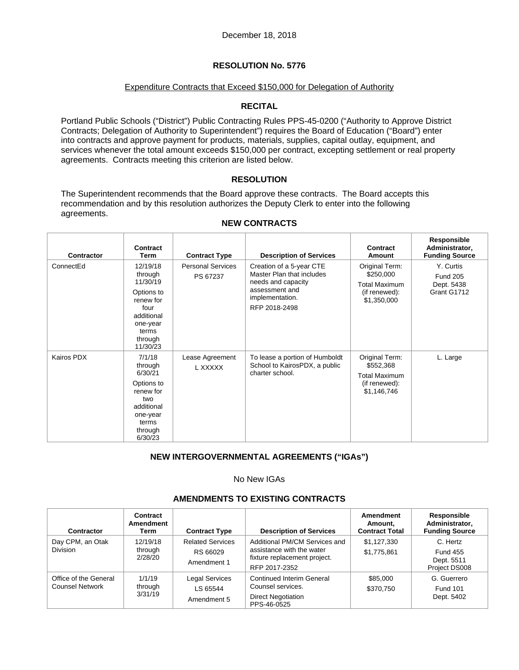### Expenditure Contracts that Exceed \$150,000 for Delegation of Authority

## **RECITAL**

Portland Public Schools ("District") Public Contracting Rules PPS-45-0200 ("Authority to Approve District Contracts; Delegation of Authority to Superintendent") requires the Board of Education ("Board") enter into contracts and approve payment for products, materials, supplies, capital outlay, equipment, and services whenever the total amount exceeds \$150,000 per contract, excepting settlement or real property agreements. Contracts meeting this criterion are listed below.

## **RESOLUTION**

The Superintendent recommends that the Board approve these contracts. The Board accepts this recommendation and by this resolution authorizes the Deputy Clerk to enter into the following agreements.

| <b>Contractor</b> | <b>Contract</b><br>Term                                                                                                      | <b>Contract Type</b>                 | <b>Description of Services</b>                                                                                                    | Contract<br>Amount                                                                  | Responsible<br>Administrator,<br><b>Funding Source</b>    |
|-------------------|------------------------------------------------------------------------------------------------------------------------------|--------------------------------------|-----------------------------------------------------------------------------------------------------------------------------------|-------------------------------------------------------------------------------------|-----------------------------------------------------------|
| ConnectEd         | 12/19/18<br>through<br>11/30/19<br>Options to<br>renew for<br>four<br>additional<br>one-year<br>terms<br>through<br>11/30/23 | <b>Personal Services</b><br>PS 67237 | Creation of a 5-year CTE<br>Master Plan that includes<br>needs and capacity<br>assessment and<br>implementation.<br>RFP 2018-2498 | Original Term:<br>\$250,000<br><b>Total Maximum</b><br>(if renewed):<br>\$1,350,000 | Y. Curtis<br><b>Fund 205</b><br>Dept. 5438<br>Grant G1712 |
| Kairos PDX        | 7/1/18<br>through<br>6/30/21<br>Options to<br>renew for<br>two<br>additional<br>one-year<br>terms<br>through<br>6/30/23      | Lease Agreement<br>L XXXXX           | To lease a portion of Humboldt<br>School to KairosPDX, a public<br>charter school.                                                | Original Term:<br>\$552,368<br><b>Total Maximum</b><br>(if renewed):<br>\$1,146,746 | L. Large                                                  |

### **NEW CONTRACTS**

## **NEW INTERGOVERNMENTAL AGREEMENTS ("IGAs")**

## No New IGAs

### **AMENDMENTS TO EXISTING CONTRACTS**

| Contractor                               | Contract<br>Amendment<br>Term  | <b>Contract Type</b>                               | <b>Description of Services</b>                                                                              | Amendment<br>Amount,<br><b>Contract Total</b> | Responsible<br>Administrator,<br><b>Funding Source</b>     |
|------------------------------------------|--------------------------------|----------------------------------------------------|-------------------------------------------------------------------------------------------------------------|-----------------------------------------------|------------------------------------------------------------|
| Day CPM, an Otak<br><b>Division</b>      | 12/19/18<br>through<br>2/28/20 | <b>Related Services</b><br>RS 66029<br>Amendment 1 | Additional PM/CM Services and<br>assistance with the water<br>fixture replacement project.<br>RFP 2017-2352 | \$1,127,330<br>\$1,775,861                    | C. Hertz<br><b>Fund 455</b><br>Dept. 5511<br>Project DS008 |
| Office of the General<br>Counsel Network | 1/1/19<br>through<br>3/31/19   | Legal Services<br>LS 65544<br>Amendment 5          | <b>Continued Interim General</b><br>Counsel services.<br><b>Direct Negotiation</b><br>PPS-46-0525           | \$85,000<br>\$370.750                         | G. Guerrero<br><b>Fund 101</b><br>Dept. 5402               |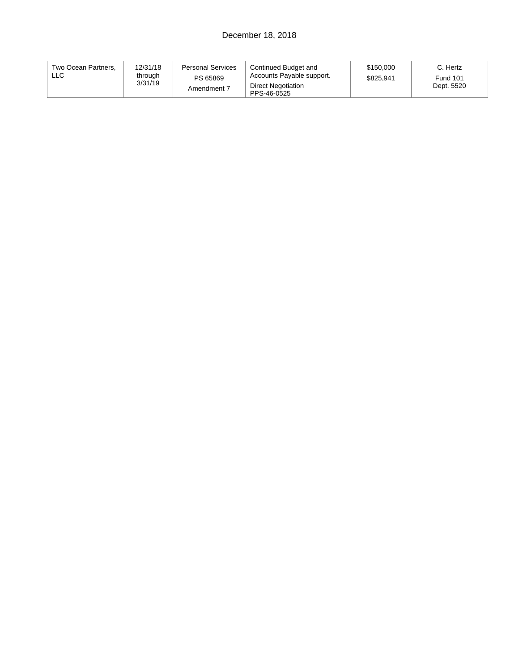# December 18, 2018

| Two Ocean Partners.<br>LLC | 12/31/18<br>through<br>3/31/19 | <b>Personal Services</b><br>PS 65869<br>Amendment 7 | Continued Budget and<br>Accounts Payable support.<br>Direct Negotiation<br>PPS-46-0525 | \$150,000<br>\$825.941 | C. Hertz<br><b>Fund 101</b><br>Dept. 5520 |
|----------------------------|--------------------------------|-----------------------------------------------------|----------------------------------------------------------------------------------------|------------------------|-------------------------------------------|
|----------------------------|--------------------------------|-----------------------------------------------------|----------------------------------------------------------------------------------------|------------------------|-------------------------------------------|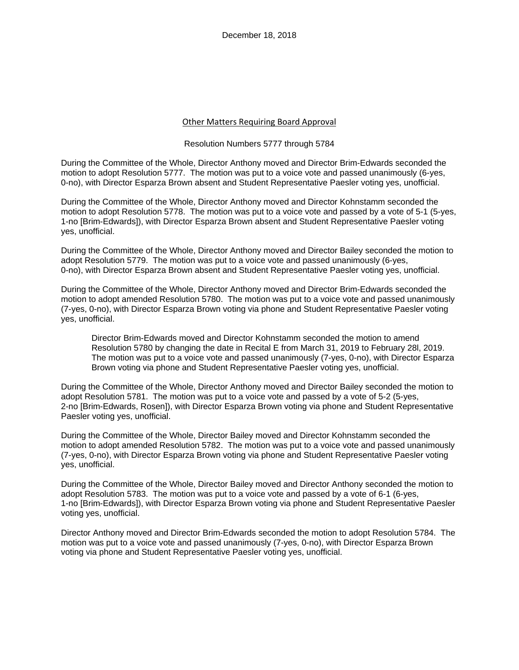### Other Matters Requiring Board Approval

#### Resolution Numbers 5777 through 5784

During the Committee of the Whole, Director Anthony moved and Director Brim-Edwards seconded the motion to adopt Resolution 5777. The motion was put to a voice vote and passed unanimously (6-yes, 0-no), with Director Esparza Brown absent and Student Representative Paesler voting yes, unofficial.

During the Committee of the Whole, Director Anthony moved and Director Kohnstamm seconded the motion to adopt Resolution 5778. The motion was put to a voice vote and passed by a vote of 5-1 (5-yes, 1-no [Brim-Edwards]), with Director Esparza Brown absent and Student Representative Paesler voting yes, unofficial.

During the Committee of the Whole, Director Anthony moved and Director Bailey seconded the motion to adopt Resolution 5779. The motion was put to a voice vote and passed unanimously (6-yes, 0-no), with Director Esparza Brown absent and Student Representative Paesler voting yes, unofficial.

During the Committee of the Whole, Director Anthony moved and Director Brim-Edwards seconded the motion to adopt amended Resolution 5780. The motion was put to a voice vote and passed unanimously (7-yes, 0-no), with Director Esparza Brown voting via phone and Student Representative Paesler voting yes, unofficial.

Director Brim-Edwards moved and Director Kohnstamm seconded the motion to amend Resolution 5780 by changing the date in Recital E from March 31, 2019 to February 28l, 2019. The motion was put to a voice vote and passed unanimously (7-yes, 0-no), with Director Esparza Brown voting via phone and Student Representative Paesler voting yes, unofficial.

During the Committee of the Whole, Director Anthony moved and Director Bailey seconded the motion to adopt Resolution 5781. The motion was put to a voice vote and passed by a vote of 5-2 (5-yes, 2-no [Brim-Edwards, Rosen]), with Director Esparza Brown voting via phone and Student Representative Paesler voting yes, unofficial.

During the Committee of the Whole, Director Bailey moved and Director Kohnstamm seconded the motion to adopt amended Resolution 5782. The motion was put to a voice vote and passed unanimously (7-yes, 0-no), with Director Esparza Brown voting via phone and Student Representative Paesler voting yes, unofficial.

During the Committee of the Whole, Director Bailey moved and Director Anthony seconded the motion to adopt Resolution 5783. The motion was put to a voice vote and passed by a vote of 6-1 (6-yes, 1-no [Brim-Edwards]), with Director Esparza Brown voting via phone and Student Representative Paesler voting yes, unofficial.

Director Anthony moved and Director Brim-Edwards seconded the motion to adopt Resolution 5784. The motion was put to a voice vote and passed unanimously (7-yes, 0-no), with Director Esparza Brown voting via phone and Student Representative Paesler voting yes, unofficial.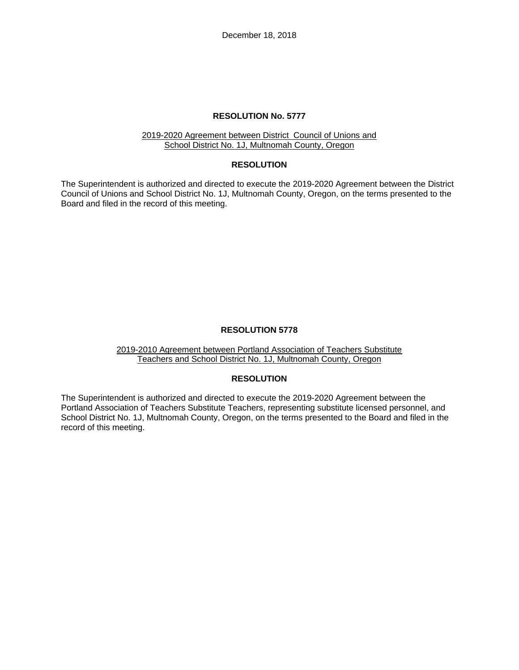December 18, 2018

### **RESOLUTION No. 5777**

#### 2019-2020 Agreement between District Council of Unions and School District No. 1J, Multnomah County, Oregon

#### **RESOLUTION**

The Superintendent is authorized and directed to execute the 2019-2020 Agreement between the District Council of Unions and School District No. 1J, Multnomah County, Oregon, on the terms presented to the Board and filed in the record of this meeting.

### **RESOLUTION 5778**

#### 2019-2010 Agreement between Portland Association of Teachers Substitute Teachers and School District No. 1J, Multnomah County, Oregon

## **RESOLUTION**

The Superintendent is authorized and directed to execute the 2019-2020 Agreement between the Portland Association of Teachers Substitute Teachers, representing substitute licensed personnel, and School District No. 1J, Multnomah County, Oregon, on the terms presented to the Board and filed in the record of this meeting.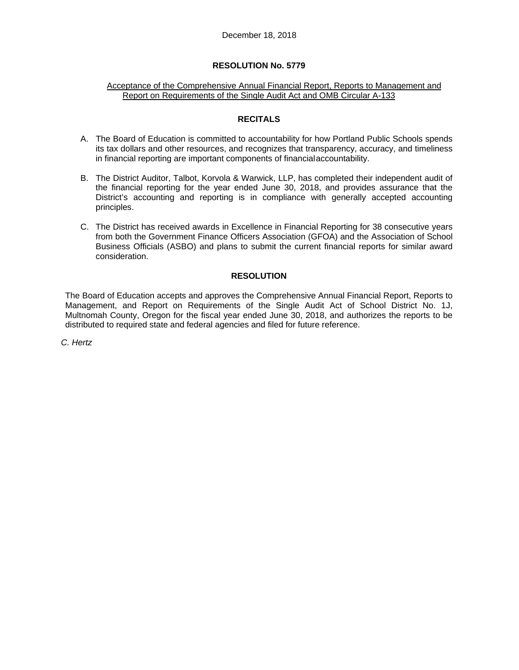#### Acceptance of the Comprehensive Annual Financial Report, Reports to Management and Report on Requirements of the Single Audit Act and OMB Circular A-133

## **RECITALS**

- A. The Board of Education is committed to accountability for how Portland Public Schools spends its tax dollars and other resources, and recognizes that transparency, accuracy, and timeliness in financial reporting are important components of financial accountability.
- B. The District Auditor, Talbot, Korvola & Warwick, LLP, has completed their independent audit of the financial reporting for the year ended June 30, 2018, and provides assurance that the District's accounting and reporting is in compliance with generally accepted accounting principles.
- C. The District has received awards in Excellence in Financial Reporting for 38 consecutive years from both the Government Finance Officers Association (GFOA) and the Association of School Business Officials (ASBO) and plans to submit the current financial reports for similar award consideration.

## **RESOLUTION**

The Board of Education accepts and approves the Comprehensive Annual Financial Report, Reports to Management, and Report on Requirements of the Single Audit Act of School District No. 1J, Multnomah County, Oregon for the fiscal year ended June 30, 2018, and authorizes the reports to be distributed to required state and federal agencies and filed for future reference.

*C. Hertz*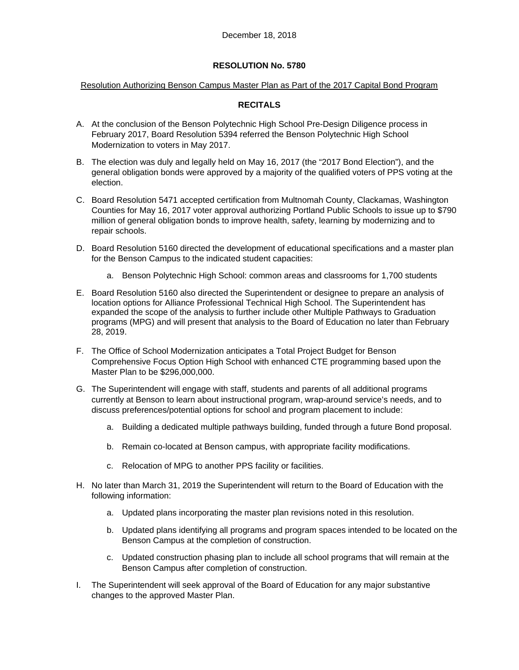### Resolution Authorizing Benson Campus Master Plan as Part of the 2017 Capital Bond Program

## **RECITALS**

- A. At the conclusion of the Benson Polytechnic High School Pre-Design Diligence process in February 2017, Board Resolution 5394 referred the Benson Polytechnic High School Modernization to voters in May 2017.
- B. The election was duly and legally held on May 16, 2017 (the "2017 Bond Election"), and the general obligation bonds were approved by a majority of the qualified voters of PPS voting at the election.
- C. Board Resolution 5471 accepted certification from Multnomah County, Clackamas, Washington Counties for May 16, 2017 voter approval authorizing Portland Public Schools to issue up to \$790 million of general obligation bonds to improve health, safety, learning by modernizing and to repair schools.
- D. Board Resolution 5160 directed the development of educational specifications and a master plan for the Benson Campus to the indicated student capacities:
	- a. Benson Polytechnic High School: common areas and classrooms for 1,700 students
- E. Board Resolution 5160 also directed the Superintendent or designee to prepare an analysis of location options for Alliance Professional Technical High School. The Superintendent has expanded the scope of the analysis to further include other Multiple Pathways to Graduation programs (MPG) and will present that analysis to the Board of Education no later than February 28, 2019.
- F. The Office of School Modernization anticipates a Total Project Budget for Benson Comprehensive Focus Option High School with enhanced CTE programming based upon the Master Plan to be \$296,000,000.
- G. The Superintendent will engage with staff, students and parents of all additional programs currently at Benson to learn about instructional program, wrap-around service's needs, and to discuss preferences/potential options for school and program placement to include:
	- a. Building a dedicated multiple pathways building, funded through a future Bond proposal.
	- b. Remain co-located at Benson campus, with appropriate facility modifications.
	- c. Relocation of MPG to another PPS facility or facilities.
- H. No later than March 31, 2019 the Superintendent will return to the Board of Education with the following information:
	- a. Updated plans incorporating the master plan revisions noted in this resolution.
	- b. Updated plans identifying all programs and program spaces intended to be located on the Benson Campus at the completion of construction.
	- c. Updated construction phasing plan to include all school programs that will remain at the Benson Campus after completion of construction.
- I. The Superintendent will seek approval of the Board of Education for any major substantive changes to the approved Master Plan.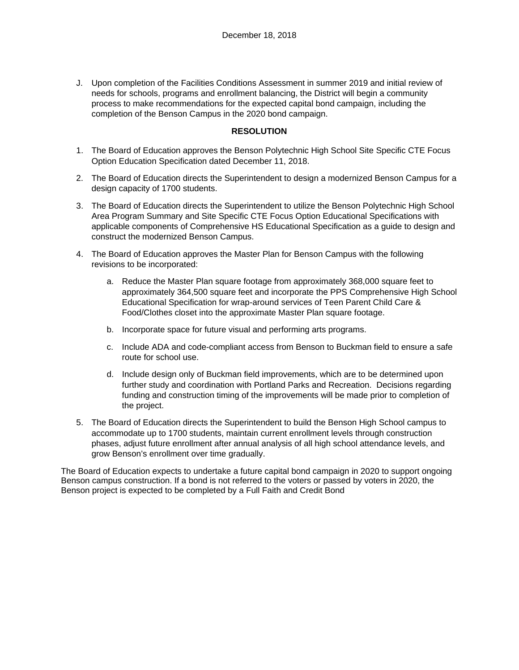J. Upon completion of the Facilities Conditions Assessment in summer 2019 and initial review of needs for schools, programs and enrollment balancing, the District will begin a community process to make recommendations for the expected capital bond campaign, including the completion of the Benson Campus in the 2020 bond campaign.

## **RESOLUTION**

- 1. The Board of Education approves the Benson Polytechnic High School Site Specific CTE Focus Option Education Specification dated December 11, 2018.
- 2. The Board of Education directs the Superintendent to design a modernized Benson Campus for a design capacity of 1700 students.
- 3. The Board of Education directs the Superintendent to utilize the Benson Polytechnic High School Area Program Summary and Site Specific CTE Focus Option Educational Specifications with applicable components of Comprehensive HS Educational Specification as a guide to design and construct the modernized Benson Campus.
- 4. The Board of Education approves the Master Plan for Benson Campus with the following revisions to be incorporated:
	- a. Reduce the Master Plan square footage from approximately 368,000 square feet to approximately 364,500 square feet and incorporate the PPS Comprehensive High School Educational Specification for wrap-around services of Teen Parent Child Care & Food/Clothes closet into the approximate Master Plan square footage.
	- b. Incorporate space for future visual and performing arts programs.
	- c. Include ADA and code-compliant access from Benson to Buckman field to ensure a safe route for school use.
	- d. Include design only of Buckman field improvements, which are to be determined upon further study and coordination with Portland Parks and Recreation. Decisions regarding funding and construction timing of the improvements will be made prior to completion of the project.
- 5. The Board of Education directs the Superintendent to build the Benson High School campus to accommodate up to 1700 students, maintain current enrollment levels through construction phases, adjust future enrollment after annual analysis of all high school attendance levels, and grow Benson's enrollment over time gradually.

The Board of Education expects to undertake a future capital bond campaign in 2020 to support ongoing Benson campus construction. If a bond is not referred to the voters or passed by voters in 2020, the Benson project is expected to be completed by a Full Faith and Credit Bond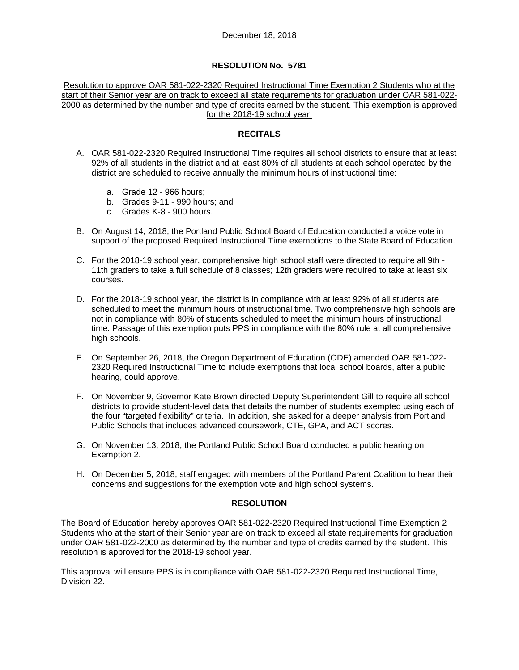Resolution to approve OAR 581-022-2320 Required Instructional Time Exemption 2 Students who at the start of their Senior year are on track to exceed all state requirements for graduation under OAR 581-022- 2000 as determined by the number and type of credits earned by the student. This exemption is approved for the 2018-19 school year.

## **RECITALS**

- A. OAR 581-022-2320 Required Instructional Time requires all school districts to ensure that at least 92% of all students in the district and at least 80% of all students at each school operated by the district are scheduled to receive annually the minimum hours of instructional time:
	- a. Grade 12 966 hours;
	- b. Grades 9-11 990 hours; and
	- c. Grades K-8 900 hours.
- B. On August 14, 2018, the Portland Public School Board of Education conducted a voice vote in support of the proposed Required Instructional Time exemptions to the State Board of Education.
- C. For the 2018-19 school year, comprehensive high school staff were directed to require all 9th 11th graders to take a full schedule of 8 classes; 12th graders were required to take at least six courses.
- D. For the 2018-19 school year, the district is in compliance with at least 92% of all students are scheduled to meet the minimum hours of instructional time. Two comprehensive high schools are not in compliance with 80% of students scheduled to meet the minimum hours of instructional time. Passage of this exemption puts PPS in compliance with the 80% rule at all comprehensive high schools.
- E. On September 26, 2018, the Oregon Department of Education (ODE) amended OAR 581-022- 2320 Required Instructional Time to include exemptions that local school boards, after a public hearing, could approve.
- F. On November 9, Governor Kate Brown directed Deputy Superintendent Gill to require all school districts to provide student-level data that details the number of students exempted using each of the four "targeted flexibility" criteria. In addition, she asked for a deeper analysis from Portland Public Schools that includes advanced coursework, CTE, GPA, and ACT scores.
- G. On November 13, 2018, the Portland Public School Board conducted a public hearing on Exemption 2.
- H. On December 5, 2018, staff engaged with members of the Portland Parent Coalition to hear their concerns and suggestions for the exemption vote and high school systems.

## **RESOLUTION**

The Board of Education hereby approves OAR 581-022-2320 Required Instructional Time Exemption 2 Students who at the start of their Senior year are on track to exceed all state requirements for graduation under OAR 581-022-2000 as determined by the number and type of credits earned by the student. This resolution is approved for the 2018-19 school year.

This approval will ensure PPS is in compliance with OAR 581-022-2320 Required Instructional Time, Division 22.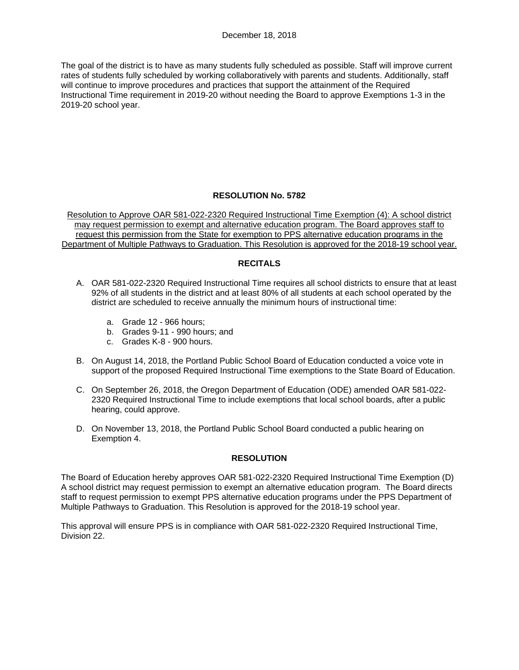The goal of the district is to have as many students fully scheduled as possible. Staff will improve current rates of students fully scheduled by working collaboratively with parents and students. Additionally, staff will continue to improve procedures and practices that support the attainment of the Required Instructional Time requirement in 2019-20 without needing the Board to approve Exemptions 1-3 in the 2019-20 school year.

## **RESOLUTION No. 5782**

Resolution to Approve OAR 581-022-2320 Required Instructional Time Exemption (4): A school district may request permission to exempt and alternative education program. The Board approves staff to request this permission from the State for exemption to PPS alternative education programs in the Department of Multiple Pathways to Graduation. This Resolution is approved for the 2018-19 school year.

## **RECITALS**

- A. OAR 581-022-2320 Required Instructional Time requires all school districts to ensure that at least 92% of all students in the district and at least 80% of all students at each school operated by the district are scheduled to receive annually the minimum hours of instructional time:
	- a. Grade 12 966 hours;
	- b. Grades 9-11 990 hours; and
	- c. Grades K-8 900 hours.
- B. On August 14, 2018, the Portland Public School Board of Education conducted a voice vote in support of the proposed Required Instructional Time exemptions to the State Board of Education.
- C. On September 26, 2018, the Oregon Department of Education (ODE) amended OAR 581-022- 2320 Required Instructional Time to include exemptions that local school boards, after a public hearing, could approve.
- D. On November 13, 2018, the Portland Public School Board conducted a public hearing on Exemption 4.

## **RESOLUTION**

The Board of Education hereby approves OAR 581-022-2320 Required Instructional Time Exemption (D) A school district may request permission to exempt an alternative education program. The Board directs staff to request permission to exempt PPS alternative education programs under the PPS Department of Multiple Pathways to Graduation. This Resolution is approved for the 2018-19 school year.

This approval will ensure PPS is in compliance with OAR 581-022-2320 Required Instructional Time, Division 22.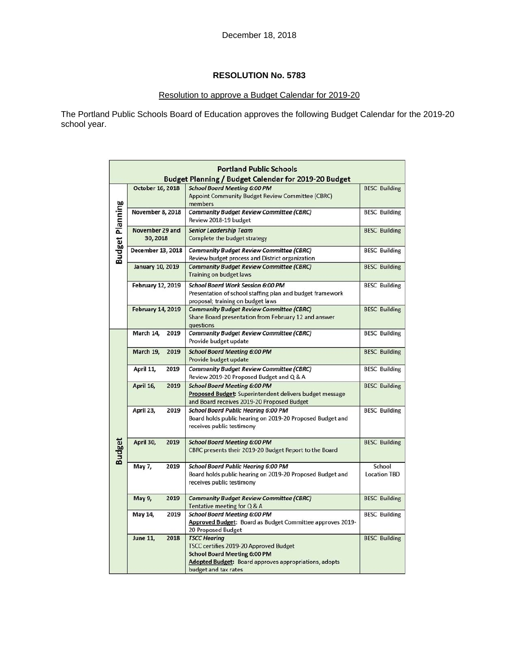# Resolution to approve a Budget Calendar for 2019-20

The Portland Public Schools Board of Education approves the following Budget Calendar for the 2019-20 school year.

|                        | <b>Portland Public Schools</b> |      |                                                                                                                                                                                              |                               |  |  |  |
|------------------------|--------------------------------|------|----------------------------------------------------------------------------------------------------------------------------------------------------------------------------------------------|-------------------------------|--|--|--|
|                        | October 16, 2018               |      | Budget Planning / Budget Calendar for 2019-20 Budget<br><b>School Board Meeting 6:00 PM</b><br>Appoint Community Budget Review Committee (CBRC)                                              | <b>BESC Building</b>          |  |  |  |
| <b>Budget Planning</b> | <b>November 8, 2018</b>        |      | members<br><b>Community Budget Review Committee (CBRC)</b><br>Review 2018-19 budget                                                                                                          | <b>BESC Building</b>          |  |  |  |
|                        | November 29 and<br>30, 2018    |      | <b>Senior Leadership Team</b><br>Complete the budget strategy                                                                                                                                | <b>BESC Building</b>          |  |  |  |
|                        | December 13, 2018              |      | <b>Community Budget Review Committee (CBRC)</b><br>Review budget process and District organization                                                                                           | <b>BESC Building</b>          |  |  |  |
|                        | <b>January 10, 2019</b>        |      | <b>Community Budget Review Committee (CBRC)</b><br><b>Training on budget laws</b>                                                                                                            | <b>BESC Building</b>          |  |  |  |
|                        | February 12, 2019              |      | <b>School Board Work Session 6:00 PM</b><br>Presentation of school staffing plan and budget framework<br>proposal; training on budget laws                                                   | <b>BESC Building</b>          |  |  |  |
|                        | <b>February 14, 2019</b>       |      | <b>Community Budget Review Committee (CBRC)</b><br>Share Board presentation from February 12 and answer<br>questions                                                                         | <b>BESC Building</b>          |  |  |  |
|                        | March 14,                      | 2019 | <b>Community Budget Review Committee (CBRC)</b><br>Provide budget update                                                                                                                     | <b>BESC Building</b>          |  |  |  |
|                        | March 19,                      | 2019 | <b>School Board Meeting 6:00 PM</b><br>Provide budget update                                                                                                                                 | <b>BESC Building</b>          |  |  |  |
|                        | April 11,                      | 2019 | <b>Community Budget Review Committee (CBRC)</b><br>Review 2019-20 Proposed Budget and Q & A                                                                                                  | <b>BESC Building</b>          |  |  |  |
|                        | April 16,                      | 2019 | <b>School Board Meeting 6:00 PM</b><br>Proposed Budget: Superintendent delivers budget message<br>and Board receives 2019-20 Proposed Budget                                                 | <b>BESC Building</b>          |  |  |  |
| <b>Budget</b>          | April 23,                      | 2019 | <b>School Board Public Hearing 6:00 PM</b><br>Board holds public hearing on 2019-20 Proposed Budget and<br>receives public testimony                                                         | <b>BESC Building</b>          |  |  |  |
|                        | April 30,                      | 2019 | <b>School Board Meeting 6:00 PM</b><br>CBRC presents their 2019-20 Budget Report to the Board                                                                                                | <b>BESC Building</b>          |  |  |  |
|                        | May 7,                         | 2019 | <b>School Board Public Hearing 6:00 PM</b><br>Board holds public hearing on 2019-20 Proposed Budget and<br>receives public testimony                                                         | School<br><b>Location TBD</b> |  |  |  |
|                        | May 9,                         | 2019 | <b>Community Budget Review Committee (CBRC)</b><br>Tentative meeting for Q & A                                                                                                               | <b>BESC Building</b>          |  |  |  |
|                        | May 14,                        | 2019 | <b>School Board Meeting 6:00 PM</b><br>Approved Budget: Board as Budget Committee approves 2019-<br>20 Proposed Budget                                                                       | <b>BESC Building</b>          |  |  |  |
|                        | <b>June 11,</b>                | 2018 | <b>TSCC Hearing</b><br>TSCC certifies 2019-20 Approved Budget<br><b>School Board Meeting 6:00 PM</b><br><b>Adopted Budget:</b> Board approves appropriations, adopts<br>budget and tax rates | <b>BESC Building</b>          |  |  |  |